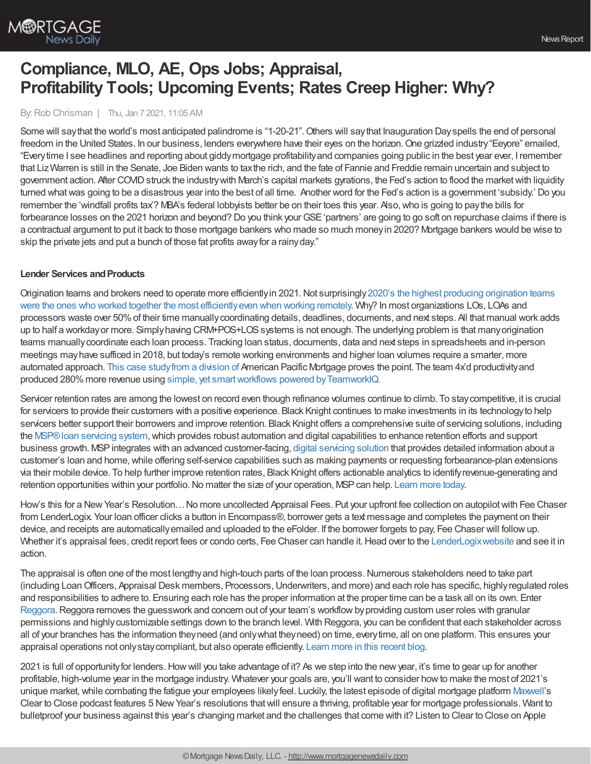

# **Compliance, MLO, AE, Ops Jobs; Appraisal, Profitability Tools; Upcoming Events; Rates Creep Higher: Why?**

By:Rob Chrisman | Thu, Jan 7 2021, 11:05 AM

Some will say that the world's most anticipated palindrome is "1-20-21". Others will say that Inauguration Dayspells the end of personal freedom in the United States. In our business, lenders everywhere have their eyes on the horizon. One grizzled industry "Eeyore" emailed, "Everytime I see headlines and reporting about giddymortgage profitabilityand companies going public in the best year ever, I remember that LizWarren is still in the Senate, Joe Biden wants to taxthe rich, and the fate of Fannie and Freddie remain uncertain and subject to government action. After COVID struck the industry with March's capital markets gyrations, the Fed's action to flood the market with liquidity turned whatwas going to be a disastrous year into the best of all time. Another word for the Fed's action is a government 'subsidy.' Do you remember the 'windfall profits tax'? MBA's federal lobbyists better be on their toes this year. Also,who is going to paythe bills for forbearance losses on the 2021 horizon and beyond? Do you think your GSE 'partners' are going to go soft on repurchase claims if there is a contractual argument to put it back to those mortgage bankers who made so much moneyin 2020? Mortgage bankers would be wise to skip the private jets and put a bunch of those fat profits awayfor a rainyday."

## **Lender Services and Products**

Origination teams and brokers need to operate more efficiently in 2021. Not surprisingly 2020's the highest producing origination teams were the ones who worked together the most efficiently even when working remotely. Why? In most organizations LOs, LOAs and processors waste over 50%of their time manuallycoordinating details, deadlines, documents, and next steps. All that manual work adds up to half a workday or more. Simply having CRM+POS+LOS systems is not enough. The underlying problem is that many origination teams manuallycoordinate each loan process. Tracking loan status, documents, data and next steps in spreadsheets and in-person meetings mayhave sufficed in 2018, but today's remote working environments and higher loan volumes require a smarter, more automated approach. This case [studyfrom](https://teamworkiq.com/american-pacific-mortgage-case-study/?utm_campaign=mortgage&utm_source=robchrisman.com&utm_content=efficient-systems-for-2021) a division of American Pacific Mortgage proves the point. The team 4x'd productivityand produced 280%more revenue using simple, yet [smartworkflows](https://teamworkiq.com/american-pacific-mortgage-case-study/?utm_campaign=mortgage&utm_source=robchrisman.com&utm_content=efficient-systems-for-2021) powered byTeamworkIQ.

Servicer retention rates are among the lowest on record even though refinance volumes continue to climb. To stay competitive, it is crucial for servicers to provide their customers with a positive experience. Black Knight continues to make investments in its technology to help servicers better support their borrowers and improve retention. Black Knight offers a comprehensive suite of servicing solutions, including the [MSP®loan](https://www.blackknightinc.com/markets-we-serve/mortgage/loan-servicing/msp/?utm_source=RobChrisman&utm_medium=ad&utm_campaign=ST_MSP_ProductPromo) servicing system,which provides robust automation and digital capabilities to enhance retention efforts and support business growth. MSPintegrates with an advanced customer-facing, digital [servicing](https://www.blackknightinc.com/markets-we-serve/mortgage/loan-servicing/servicing-digital/?utm_source=robchrisman.com&utm_medium=referral&utm_campaign=ST_Servicing-Digital&utm_content=pd-brand-mention) solution that provides detailed information about a customer's loan and home, while offering self-service capabilities such as making payments or requesting forbearance-plan extensions via their mobile device. To help further improve retention rates, Black Knight offers actionable analytics to identifyrevenue-generating and retention opportunities within your portfolio. No matter the size of your operation, MSP can help. [Learn](https://www.blackknightinc.com/markets-we-serve/mortgage/loan-servicing/msp/?utm_source=RobChrisman&utm_medium=ad&utm_campaign=ST_MSP_ProductPromo) more today.

How's this for a New Year's Resolution... No more uncollected Appraisal Fees. Put your upfront fee collection on autopilot with Fee Chaser from LenderLogix. Your loan officer clicks a button in Encompass®, borrower gets a text message and completes the payment on their device, and receipts are automaticallyemailed and uploaded to the eFolder. If the borrower forgets to pay, Fee Chaser will followup. Whether it's appraisal fees, credit report fees or condo certs, Fee Chaser can handle it. Head over to the LenderLogix website and see it in action.

The appraisal is often one of the most lengthy and high-touch parts of the loan process. Numerous stakeholders need to take part (including LoanOfficers, Appraisal Desk members, Processors,Underwriters, and more) and each role has specific, highlyregulated roles and responsibilities to adhere to. Ensuring each role has the proper information at the proper time can be a task all on its own. Enter [Reggora](http://www.reggora.com/?utm_source=Chrisman&utm_medium=newsletter&utm_campaign=user%20roles). Reggora removes the guesswork and concern out of your team's workflow by providing custom user roles with granular permissions and highlycustomizable settings down to the branch level. With Reggora, you can be confident that each stakeholder across all of your branches has the information theyneed (and onlywhat theyneed) on time, everytime, all on one platform. This ensures your appraisal operations not onlystaycompliant, but also operate efficiently. Learn more in this [recent](https://www.reggora.com/easily-manage-custom-user-roles-and-permissions-within-reggora/?utm_source=Chrisman&utm_medium=newsletter&utm_campaign=user%20roles) blog.

2021 is full of opportunityfor lenders.Howwill you take advantage of it? As we step into the newyear, it's time to gear up for another profitable, high-volume year in the mortgage industry. Whatever your goals are, you'll want to consider howto make the most of 2021's unique market, while combating the fatigue your employees likely feel. Luckily, the latest episode of digital mortgage platform [Maxwell](https://himaxwell.com/?utm_source=RC&utm_medium=RC_Content)'s Clear to Close podcast features 5 NewYear's resolutions thatwill ensure a thriving, profitable year for mortgage professionals. Want to bulletproof your business against this year's changing market and the challenges that come with it? Listen to Clear to Close on Apple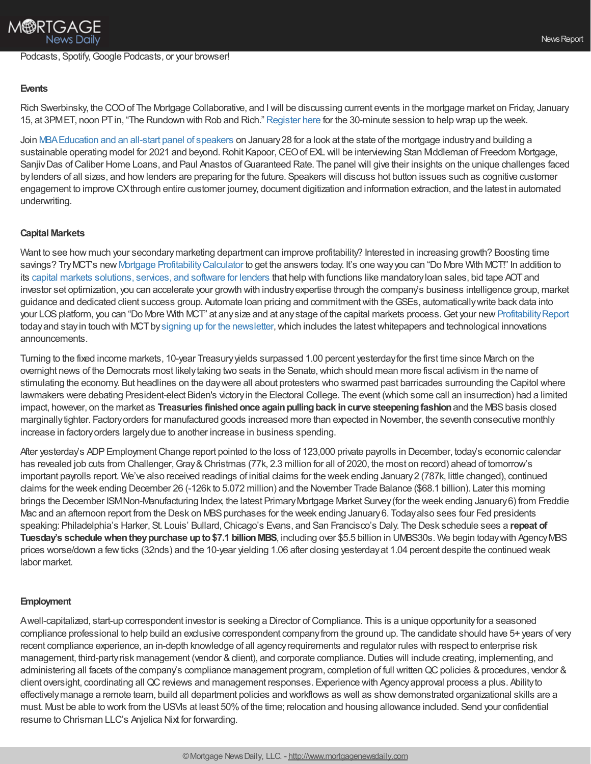# Podcasts, Spotify, Google Podcasts, or your browser!

#### **Events**

Rich Swerbinsky, the COOof The Mortgage Collaborative, and Iwill be discussing current events in the mortgage market on Friday, January 15, at 3PMET, noon PTin, "The Rundown with Rob and Rich." [Register](https://mtgcoop.zoom.us/webinar/register/WN_hOUDEqURT9m3mhKCJWRM-A) here for the 30-minute session to help wrap up the week.

Join [MBAEducation](https://www.mba.org/store/events/education/meeting/webinar/the-state-of-the-mortgage-industry-building-a-sustainable-operating-model-for-2021-and-beyond?check_for_mini_site=Y) and an all-start panel of speakers on January28 for a look at the state of the mortgage industryand building a sustainable operating model for 2021 and beyond. Rohit Kapoor, CEO of EXL will be interviewing Stan Middleman of Freedom Mortgage, Sanjiv Das of Caliber Home Loans, and Paul Anastos of Guaranteed Rate. The panel will give their insights on the unique challenges faced bylenders of all sizes, and howlenders are preparing for the future. Speakers will discuss hot button issues such as cognitive customer engagement to improve CXthrough entire customer journey, document digitization and information extraction, and the latest in automated underwriting.

## **Capital Markets**

Want to see how much your secondary marketing department can improve profitability? Interested in increasing growth? Boosting time savings? TryMCT's new Mortgage [ProfitabilityCalculator](https://mct-trading.com/mortgage-profitability-calculator/?utm_source=ChrismanBlurb&utm_medium=email&utm_campaign=Chrisman_Email_Jan7) to get the answers today. It's one wayyou can "Do More With MCT!" In addition to its capital markets [solutions,](https://mct-trading.com/solutions/?utm_source=ChrismanBlurb&utm_medium=email&utm_campaign=Chrisman_Email_Jan7) services, and software for lenders that help with functions like mandatoryloan sales, bid tape AOTand investor set optimization, you can accelerate your growth with industryexpertise through the company's business intelligence group, market guidance and dedicated client success group. Automate loan pricing and commitment with the GSEs, automatically write back data into your LOS platform, you can "Do More With MCT" at any size and at any stage of the capital markets process. Get your new Profitability Report today and stay in touch with MCT by signing up for the [newsletter,](https://mct-trading.com/newsroom/?utm_source=ChrismanBlurb&utm_medium=email&utm_campaign=Chrisman_Email_Jan7#join) which includes the latest whitepapers and technological innovations announcements.

Turning to the fixed income markets, 10-year Treasuryyields surpassed 1.00 percent yesterdayfor the first time since March on the overnight news of the Democrats most likely taking two seats in the Senate, which should mean more fiscal activism in the name of stimulating the economy. But headlines on the daywere all about protesters who swarmed past barricades surrounding the Capitol where lawmakers were debating President-elect Biden's victoryin the Electoral College. The event (which some call an insurrection) had a limited impact, however, on the market as **Treasuries finishedonce againpullingback incurve steepeningfashion**and the MBSbasis closed marginallytighter. Factoryorders for manufactured goods increased more than expected in November, the seventh consecutive monthly increase in factoryorders largelydue to another increase in business spending.

After yesterday's ADP Employment Change report pointed to the loss of 123,000 private payrolls in December, today's economic calendar has revealed job cuts from Challenger, Gray & Christmas (77k, 2.3 million for all of 2020, the most on record) ahead of tomorrow's important payrolls report. We've also received readings of initial claims for the week ending January2 (787k, little changed), continued claims for the week ending December 26 (-126k to 5.072 million) and the November Trade Balance (\$68.1 billion). Later this morning brings the December ISMNon-Manufacturing Index, the latest PrimaryMortgage Market Survey(for the week ending January6) from Freddie Mac and an afternoon report from the Desk on MBS purchases for the week ending January 6. Today also sees four Fed presidents speaking: Philadelphia's Harker, St. Louis' Bullard,Chicago's Evans, and San Francisco's Daly. The Desk schedule sees a **repeat of Tuesday's schedulewhentheypurchase upto\$7.1 billionMBS**, including over \$5.5 billion in UMBS30s. We begin todaywith AgencyMBS prices worse/down a fewticks (32nds) and the 10-year yielding 1.06 after closing yesterdayat 1.04 percent despite the continued weak labor market.

#### **Employment**

Awell-capitalized, start-up correspondent investor is seeking a Director of Compliance. This is a unique opportunity for a seasoned compliance professional to help build an exclusive correspondent companyfrom the ground up. The candidate should have 5+ years of very recent compliance experience, an in-depth knowledge of all agencyrequirements and regulator rules with respect to enterprise risk management, third-partyrisk management (vendor & client), and corporate compliance. Duties will include creating, implementing, and administering all facets of the company's compliance management program, completion of full written QC policies & procedures, vendor & client oversight, coordinating all QCreviews and management responses. Experience with Agencyapproval process a plus. Abilityto effectivelymanage a remote team, build all department policies and workflows as well as showdemonstrated organizational skills are a must. Must be able to work from the USVIs at least 50%of the time; relocation and housing allowance included. Send your confidential resume to Chrisman LLC's Anjelica Nixt for forwarding.